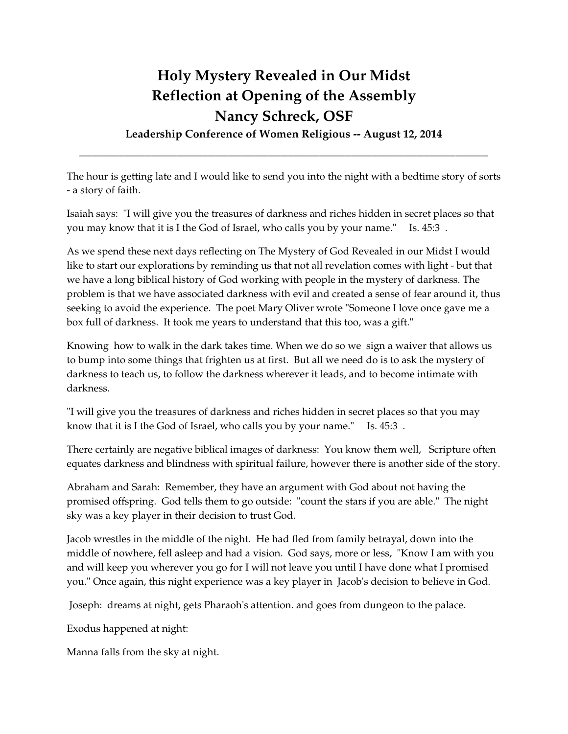## **Holy Mystery Revealed in Our Midst Reflection at Opening of the Assembly Nancy Schreck, OSF**

**Leadership Conference of Women Religious -- August 12, 2014** \_\_\_\_\_\_\_\_\_\_\_\_\_\_\_\_\_\_\_\_\_\_\_\_\_\_\_\_\_\_\_\_\_\_\_\_\_\_\_\_\_\_\_\_\_\_\_\_\_\_\_\_\_\_\_\_\_\_\_\_\_\_\_

The hour is getting late and I would like to send you into the night with a bedtime story of sorts - a story of faith.

Isaiah says: "I will give you the treasures of darkness and riches hidden in secret places so that you may know that it is I the God of Israel, who calls you by your name." Is. 45:3 .

As we spend these next days reflecting on The Mystery of God Revealed in our Midst I would like to start our explorations by reminding us that not all revelation comes with light - but that we have a long biblical history of God working with people in the mystery of darkness. The problem is that we have associated darkness with evil and created a sense of fear around it, thus seeking to avoid the experience. The poet Mary Oliver wrote "Someone I love once gave me a box full of darkness. It took me years to understand that this too, was a gift."

Knowing how to walk in the dark takes time. When we do so we sign a waiver that allows us to bump into some things that frighten us at first. But all we need do is to ask the mystery of darkness to teach us, to follow the darkness wherever it leads, and to become intimate with darkness.

"I will give you the treasures of darkness and riches hidden in secret places so that you may know that it is I the God of Israel, who calls you by your name." Is. 45:3 .

There certainly are negative biblical images of darkness: You know them well, Scripture often equates darkness and blindness with spiritual failure, however there is another side of the story.

Abraham and Sarah: Remember, they have an argument with God about not having the promised offspring. God tells them to go outside: "count the stars if you are able." The night sky was a key player in their decision to trust God.

Jacob wrestles in the middle of the night. He had fled from family betrayal, down into the middle of nowhere, fell asleep and had a vision. God says, more or less, "Know I am with you and will keep you wherever you go for I will not leave you until I have done what I promised you." Once again, this night experience was a key player in Jacob's decision to believe in God.

Joseph: dreams at night, gets Pharaoh's attention. and goes from dungeon to the palace.

Exodus happened at night:

Manna falls from the sky at night.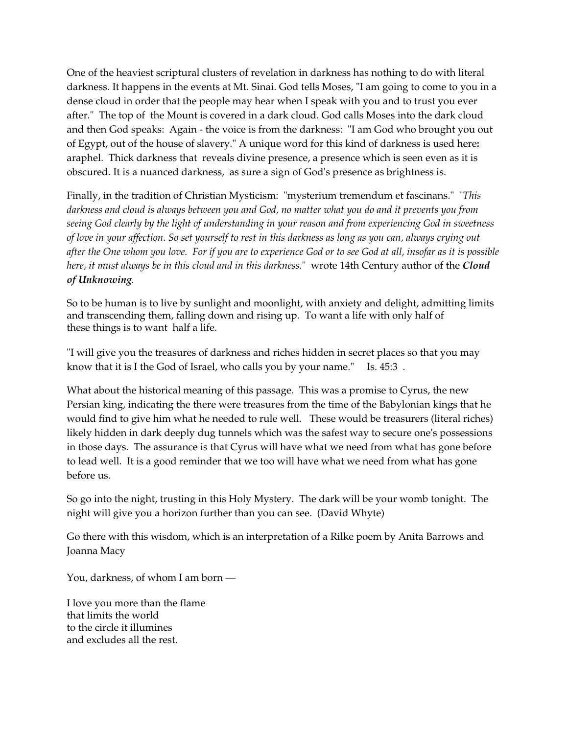One of the heaviest scriptural clusters of revelation in darkness has nothing to do with literal darkness. It happens in the events at Mt. Sinai. God tells Moses, "I am going to come to you in a dense cloud in order that the people may hear when I speak with you and to trust you ever after." The top of the Mount is covered in a dark cloud. God calls Moses into the dark cloud and then God speaks: Again - the voice is from the darkness: "I am God who brought you out of Egypt, out of the house of slavery." A unique word for this kind of darkness is used here**:**  araphel. Thick darkness that reveals divine presence, a presence which is seen even as it is obscured. It is a nuanced darkness, as sure a sign of God's presence as brightness is.

Finally, in the tradition of Christian Mysticism: "mysterium tremendum et fascinans." "*This darkness and cloud is always between you and God, no matter what you do and it prevents you from seeing God clearly by the light of understanding in your reason and from experiencing God in sweetness of love in your affection. So set yourself to rest in this darkness as long as you can, always crying out after the One whom you love. For if you are to experience God or to see God at all, insofar as it is possible here, it must always be in this cloud and in this darkness.*" wrote 14th Century author of the *Cloud of Unknowing.*

So to be human is to live by sunlight and moonlight, with anxiety and delight, admitting limits and transcending them, falling down and rising up. To want a life with only half of these things is to want half a life.

"I will give you the treasures of darkness and riches hidden in secret places so that you may know that it is I the God of Israel, who calls you by your name." Is. 45:3 .

What about the historical meaning of this passage. This was a promise to Cyrus, the new Persian king, indicating the there were treasures from the time of the Babylonian kings that he would find to give him what he needed to rule well. These would be treasurers (literal riches) likely hidden in dark deeply dug tunnels which was the safest way to secure one's possessions in those days. The assurance is that Cyrus will have what we need from what has gone before to lead well. It is a good reminder that we too will have what we need from what has gone before us.

So go into the night, trusting in this Holy Mystery. The dark will be your womb tonight. The night will give you a horizon further than you can see. (David Whyte)

Go there with this wisdom, which is an interpretation of a Rilke poem by Anita Barrows and Joanna Macy

You, darkness, of whom I am born —

I love you more than the flame that limits the world to the circle it illumines and excludes all the rest.